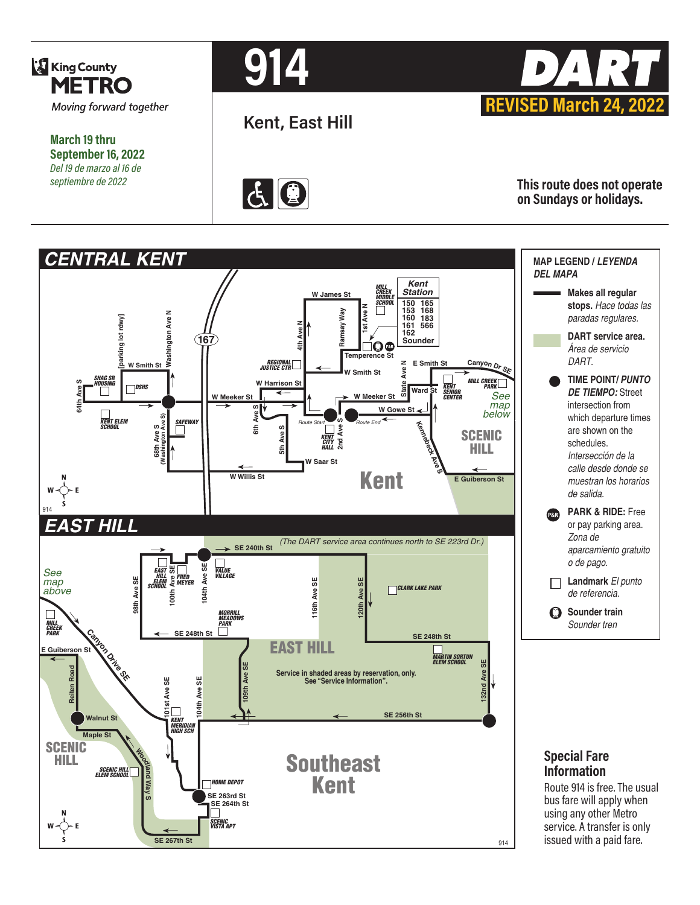

**March 19 thru September 16, 2022** *Del 19 de marzo al 16 de septiembre de 2022*

# **914**

**Kent, East Hill**





**This route does not operate on Sundays or holidays.**